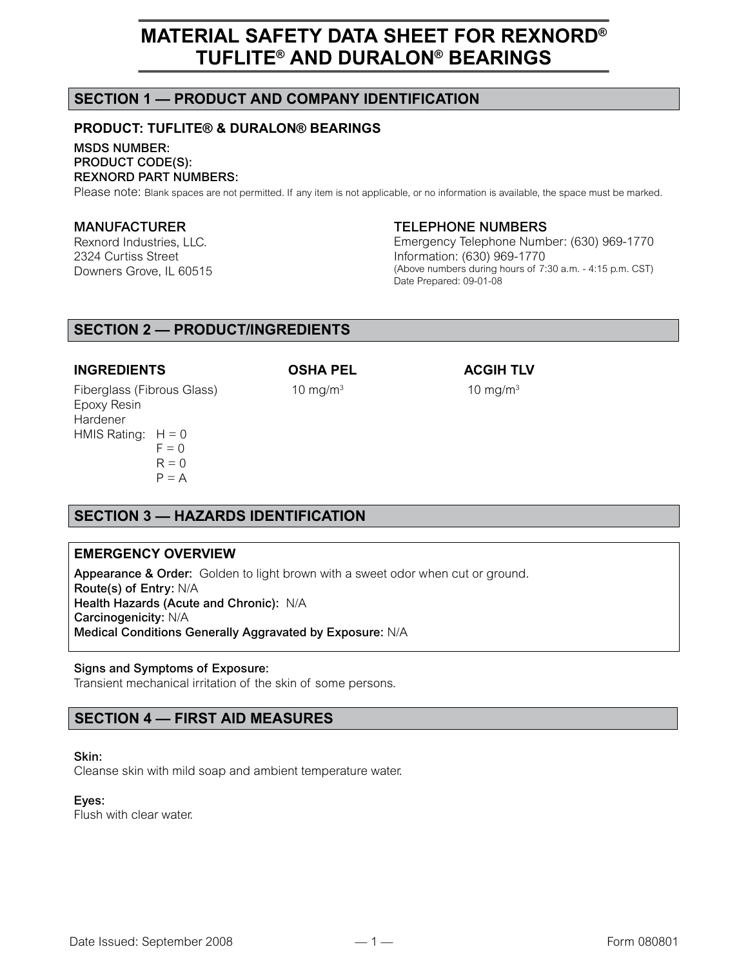# **SECTION 1 — PRODUCT AND COMPANY IDENTIFICATION**

# **PRODUCT: TUFLITE® & DURALON® BEARINGS**

MSDS NUMBER: PRODUCT CODE(S): REXNORD PART NUMBERS:

Please note: Blank spaces are not permitted. If any item is not applicable, or no information is available, the space must be marked.

#### MANUFACTURER

Rexnord Industries, LLC. 2324 Curtiss Street Downers Grove, IL 60515

### TELEPHONE NUMBERS

Emergency Telephone Number: (630) 969-1770 Information: (630) 969-1770 (Above numbers during hours of 7:30 a.m. - 4:15 p.m. CST) Date Prepared: 09-01-08

# **SECTION 2 — PRODUCT/INGREDIENTS**

### **INGREDIENTS OSHA PEL ACGIH TLV**

Fiberglass (Fibrous Glass) 10 mg/m<sup>3</sup> Epoxy Resin Hardener HMIS Rating:  $H = 0$  $F = 0$  $R = 0$  $P = A$ 

10  $mg/m<sup>3</sup>$ 

# **SECTION 3 — HAZARDS IDENTIFICATION**

## **EMERGENCY OVERVIEW**

Appearance & Order: Golden to light brown with a sweet odor when cut or ground. Route(s) of Entry: N/A Health Hazards (Acute and Chronic): N/A Carcinogenicity: N/A Medical Conditions Generally Aggravated by Exposure: N/A

#### Signs and Symptoms of Exposure:

Transient mechanical irritation of the skin of some persons.

# **SECTION 4 — FIRST AID MEASURES**

#### Skin:

Cleanse skin with mild soap and ambient temperature water.

### Eyes:

Flush with clear water.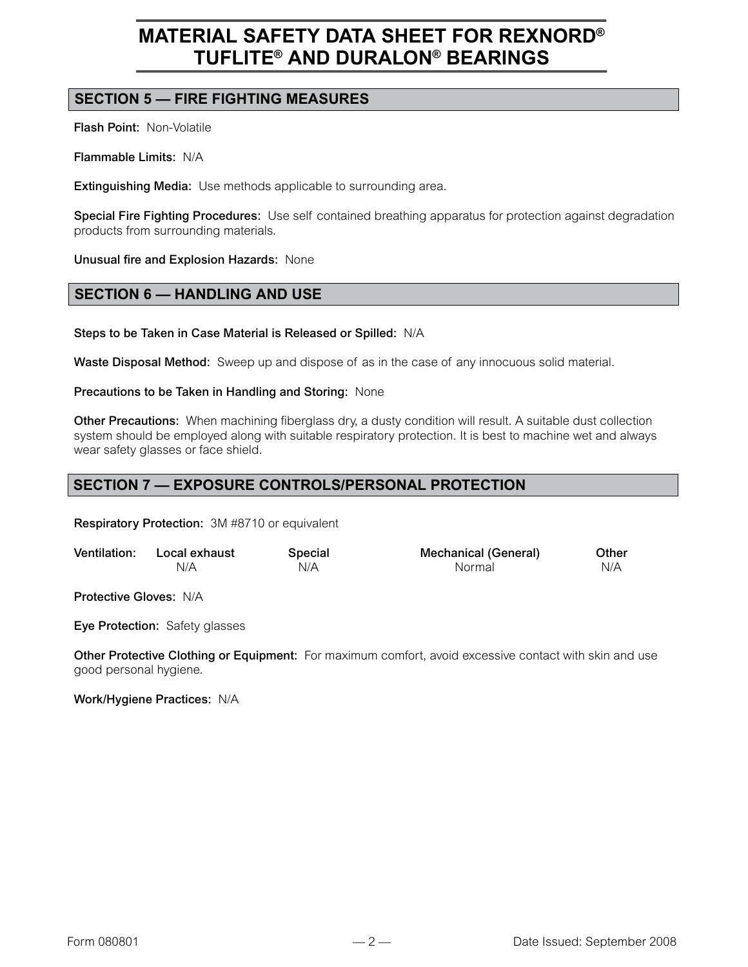# **SECTION 5 — FIRE FIGHTING MEASURES**

Flash Point: Non-Volatile

Flammable Limits: N/A

Extinguishing Media: Use methods applicable to surrounding area.

Special Fire Fighting Procedures: Use self contained breathing apparatus for protection against degradation products from surrounding materials.

Unusual fire and Explosion Hazards: None

# **SECTION 6 — HANDLING AND USE**

Steps to be Taken in Case Material is Released or Spilled: N/A

Waste Disposal Method: Sweep up and dispose of as in the case of any innocuous solid material.

#### Precautions to be Taken in Handling and Storing: None

Other Precautions: When machining fiberglass dry, a dusty condition will result. A suitable dust collection system should be employed along with suitable respiratory protection. It is best to machine wet and always wear safety glasses or face shield.

# **SECTION 7 — EXPOSURE CONTROLS/PERSONAL PROTECTION**

Respiratory Protection: 3M #8710 or equivalent

| Ventilation: Local exhaust | Special | <b>Mechanical (General)</b> | Other |
|----------------------------|---------|-----------------------------|-------|
| N/A                        | N/A     | Normal                      | N/A   |

Protective Gloves: N/A

Eye Protection: Safety glasses

Other Protective Clothing or Equipment: For maximum comfort, avoid excessive contact with skin and use good personal hygiene.

Work/Hygiene Practices: N/A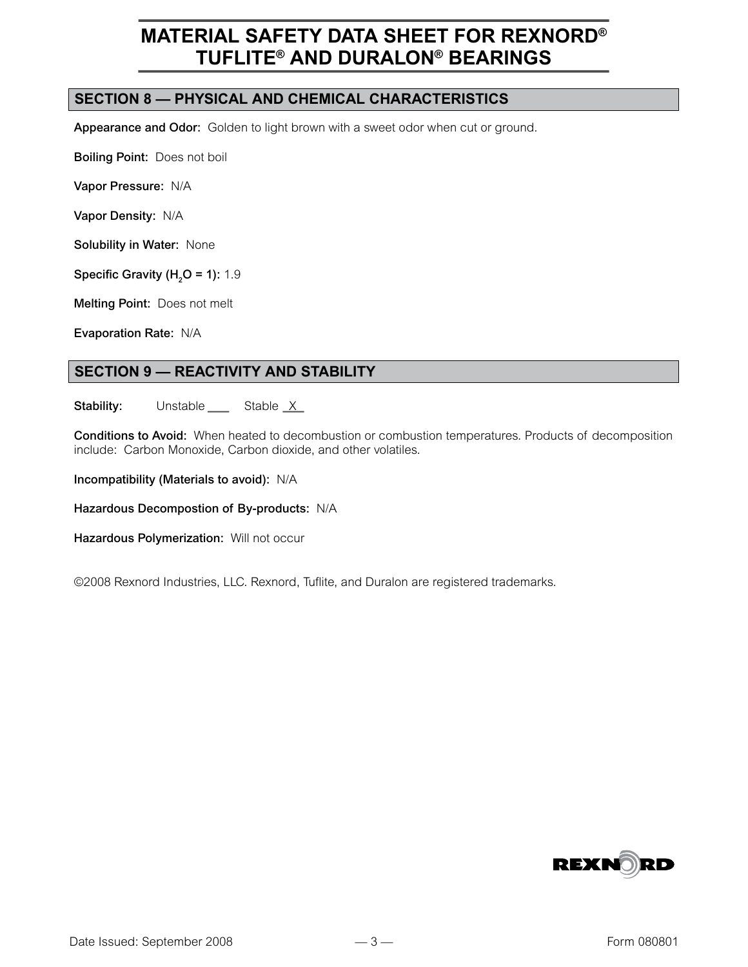# **SECTION 8 — PHYSICAL AND CHEMICAL CHARACTERISTICS**

Appearance and Odor: Golden to light brown with a sweet odor when cut or ground.

Boiling Point: Does not boil

Vapor Pressure: N/A

Vapor Density: N/A

Solubility in Water: None

Specific Gravity (H<sub>2</sub>O = 1): 1.9

Melting Point: Does not melt

Evaporation Rate: N/A

# **SECTION 9 — REACTIVITY AND STABILITY**

**Stability:** Unstable  $S$ table  $X$ 

Conditions to Avoid: When heated to decombustion or combustion temperatures. Products of decomposition include: Carbon Monoxide, Carbon dioxide, and other volatiles.

Incompatibility (Materials to avoid): N/A

Hazardous Decompostion of By-products: N/A

Hazardous Polymerization: Will not occur

©2008 Rexnord Industries, LLC. Rexnord, Tuflite, and Duralon are registered trademarks.